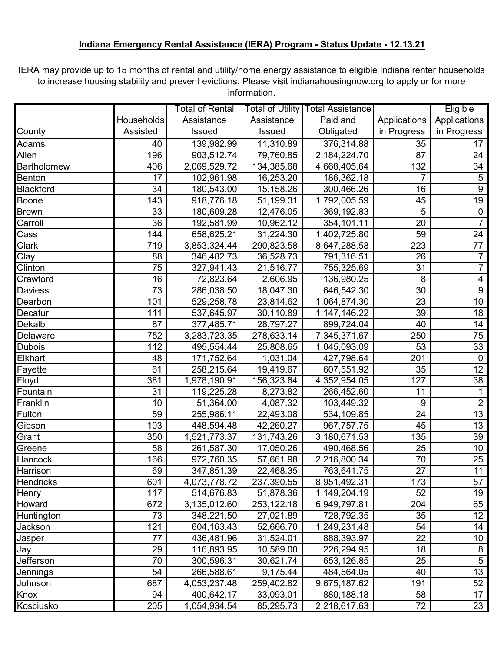## **Indiana Emergency Rental Assistance (IERA) Program - Status Update - 12.13.21**

IERA may provide up to 15 months of rental and utility/home energy assistance to eligible Indiana renter households to increase housing stability and prevent evictions. Please visit indianahousingnow.org to apply or for more information.

|                    |            | Total of Rental |            | Total of Utility   Total Assistance |                | Eligible                |
|--------------------|------------|-----------------|------------|-------------------------------------|----------------|-------------------------|
|                    | Households | Assistance      | Assistance | Paid and                            | Applications   | Applications            |
| County             | Assisted   | Issued          | Issued     | Obligated                           | in Progress    | in Progress             |
| Adams              | 40         | 139,982.99      | 11,310.89  | 376,314.88                          | 35             | 17                      |
| Allen              | 196        | 903,512.74      | 79,760.85  | 2,184,224.70                        | 87             | 24                      |
| <b>Bartholomew</b> | 406        | 2,069,529.72    | 134,385.68 | 4,668,405.64                        | 132            | 34                      |
| Benton             | 17         | 102,961.98      | 16,253.20  | 186,362.18                          | $\overline{7}$ | 5                       |
| Blackford          | 34         | 180,543.00      | 15,158.26  | 300,466.26                          | 16             | 9                       |
| Boone              | 143        | 918,776.18      | 51,199.31  | 1,792,005.59                        | 45             | 19                      |
| <b>Brown</b>       | 33         | 180,609.28      | 12,476.05  | 369,192.83                          | 5              | $\pmb{0}$               |
| Carroll            | 36         | 192,581.99      | 10,962.12  | 354,101.11                          | 20             | $\overline{7}$          |
| Cass               | 144        | 658,625.21      | 31,224.30  | 1,402,725.80                        | 59             | 24                      |
| <b>Clark</b>       | 719        | 3,853,324.44    | 290,823.58 | 8,647,288.58                        | 223            | 77                      |
| $\overline{C}$ lay | 88         | 346,482.73      | 36,528.73  | 791,316.51                          | 26             | $\overline{7}$          |
| Clinton            | 75         | 327,941.43      | 21,516.77  | 755,325.69                          | 31             | $\overline{7}$          |
| Crawford           | 16         | 72,823.64       | 2,606.95   | 136,980.25                          | 8              | $\overline{\mathbf{4}}$ |
| Daviess            | 73         | 286,038.50      | 18,047.30  | 646,542.30                          | 30             | $\boldsymbol{9}$        |
| Dearbon            | 101        | 529,258.78      | 23,814.62  | 1,064,874.30                        | 23             | 10                      |
| Decatur            | 111        | 537,645.97      | 30,110.89  | 1,147,146.22                        | 39             | 18                      |
| Dekalb             | 87         | 377,485.71      | 28,797.27  | 899,724.04                          | 40             | 14                      |
| Delaware           | 752        | 3,283,723.35    | 278,633.14 | 7,345,371.67                        | 250            | 75                      |
| <b>Dubois</b>      | 112        | 495,554.44      | 25,808.65  | 1,045,093.09                        | 53             | 33                      |
| Elkhart            | 48         | 171,752.64      | 1,031.04   | 427,798.64                          | 201            | $\mathbf 0$             |
| Fayette            | 61         | 258,215.64      | 19,419.67  | 607,551.92                          | 35             | 12                      |
| Floyd              | 381        | 1,978,190.91    | 156,323.64 | 4,352,954.05                        | 127            | 38                      |
| Fountain           | 31         | 119,225.28      | 8,273.82   | 266,452.60                          | 11             | 1                       |
| Franklin           | 10         | 51,364.00       | 4,087.32   | 103,449.32                          | 9              | $\overline{2}$          |
| Fulton             | 59         | 255,986.11      | 22,493.08  | 534,109.85                          | 24             | 13                      |
| Gibson             | 103        | 448,594.48      | 42,260.27  | 967,757.75                          | 45             | 13                      |
| Grant              | 350        | 1,521,773.37    | 131,743.26 | 3,180,671.53                        | 135            | 39                      |
| Greene             | 58         | 261,587.30      | 17,050.26  | 490,468.56                          | 25             | 10                      |
| Hancock            | 166        | 972,760.35      | 57,661.98  | 2,216,800.34                        | 70             | 25                      |
| Harrison           | 69         | 347,851.39      | 22,468.35  | 763,641.75                          | 27             | 11                      |
| Hendricks          | 601        | 4,073,778.72    | 237,390.55 | 8,951,492.31                        | 173            | 57                      |
| <b>Henry</b>       | 117        | 514,676.83      | 51,878.36  | 1,149,204.19                        | 52             | 19                      |
| Howard             | 672        | 3,135,012.60    | 253,122.18 | 6,949,797.81                        | 204            | 65                      |
| Huntington         | 73         | 348,221.50      | 27,021.89  | 728,792.35                          | 35             | 12                      |
| Jackson            | 121        | 604,163.43      | 52,666.70  | 1,249,231.48                        | 54             | 14                      |
| Jasper             | 77         | 436,481.96      | 31,524.01  | 888,393.97                          | 22             | 10 <sup>°</sup>         |
| Jay                | 29         | 116,893.95      | 10,589.00  | 226,294.95                          | 18             | 8                       |
| Jefferson          | 70         | 300,596.31      | 30,621.74  | 653,126.85                          | 25             | $\sqrt{5}$              |
| Jennings           | 54         | 266,588.61      | 9,175.44   | 484,564.05                          | 40             | 13                      |
| Johnson            | 687        | 4,053,237.48    | 259,402.82 | 9,675,187.62                        | 191            | 52                      |
| Knox               | 94         | 400,642.17      | 33,093.01  | 880,188.18                          | 58             | 17                      |
| Kosciusko          | 205        | 1,054,934.54    | 85,295.73  | 2,218,617.63                        | 72             | 23                      |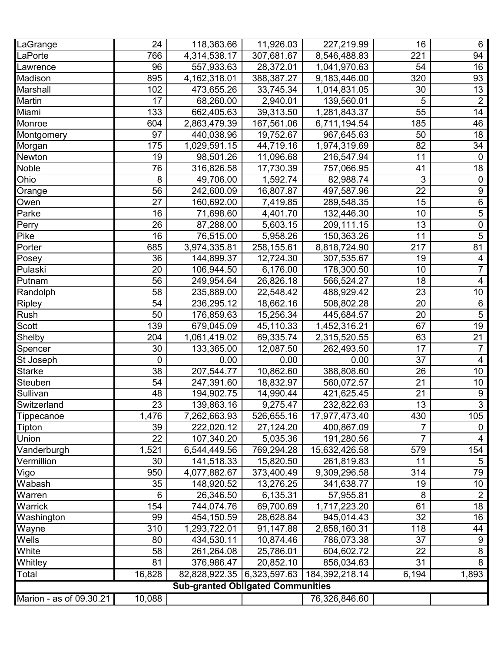| LaGrange                | 24              | 118,363.66                               | 11,926.03  | 227,219.99                                | 16             | 6                |
|-------------------------|-----------------|------------------------------------------|------------|-------------------------------------------|----------------|------------------|
| LaPorte                 | 766             | 4,314,538.17                             | 307,681.67 | 8,546,488.83                              | 221            | 94               |
| Lawrence                | 96              | 557,933.63                               | 28,372.01  | 1,041,970.63                              | 54             | 16               |
| Madison                 | 895             | 4, 162, 318.01                           | 388,387.27 | 9,183,446.00                              | 320            | 93               |
| Marshall                | 102             | 473,655.26                               | 33,745.34  | 1,014,831.05                              | 30             | 13               |
| Martin                  | 17              | 68,260.00                                | 2,940.01   | 139,560.01                                | 5              | $\overline{2}$   |
| Miami                   | 133             | 662,405.63                               | 39,313.50  | 1,281,843.37                              | 55             | 14               |
| Monroe                  | 604             | 2,863,479.39                             | 167,561.06 | 6,711,194.54                              | 185            | 46               |
| Montgomery              | 97              | 440,038.96                               | 19,752.67  | 967,645.63                                | 50             | 18               |
| Morgan                  | 175             | 1,029,591.15                             | 44,719.16  | 1,974,319.69                              | 82             | 34               |
| Newton                  | 19              | 98,501.26                                | 11,096.68  | 216,547.94                                | 11             | $\mathbf 0$      |
| Noble                   | 76              | 316,826.58                               | 17,730.39  | 757,066.95                                | 41             | 18               |
| Ohio                    | 8               | 49,706.00                                | 1,592.74   | 82,988.74                                 | 3              | 0                |
| Orange                  | 56              | 242,600.09                               | 16,807.87  | 497,587.96                                | 22             | $\boldsymbol{9}$ |
| Owen                    | 27              | 160,692.00                               | 7,419.85   | 289,548.35                                | 15             | $\,6$            |
| Parke                   | 16              | 71,698.60                                | 4,401.70   | 132,446.30                                | 10             | 5                |
| Perry                   | 26              | 87,288.00                                | 5,603.15   | 209,111.15                                | 13             | $\overline{0}$   |
| Pike                    | 16              | 76,515.00                                | 5,958.26   | 150,363.26                                | 11             | $\overline{5}$   |
| Porter                  | 685             | 3,974,335.81                             | 258,155.61 | 8,818,724.90                              | 217            | 81               |
| Posey                   | 36              | 144,899.37                               | 12,724.30  | 307,535.67                                | 19             | 4                |
| Pulaski                 | 20              | 106,944.50                               | 6,176.00   | 178,300.50                                | 10             | $\overline{7}$   |
| Putnam                  | 56              | 249,954.64                               | 26,826.18  | 566,524.27                                | 18             | 4                |
| Randolph                | 58              | 235,889.00                               | 22,548.42  | 488,929.42                                | 23             | 10               |
| <b>Ripley</b>           | 54              | 236,295.12                               | 18,662.16  | 508,802.28                                | 20             | 6                |
| Rush                    | 50              | 176,859.63                               | 15,256.34  | 445,684.57                                | 20             | $\overline{5}$   |
| <b>Scott</b>            | 139             | 679,045.09                               | 45,110.33  | 1,452,316.21                              | 67             | $\overline{19}$  |
| Shelby                  | 204             | 1,061,419.02                             | 69,335.74  | 2,315,520.55                              | 63             | 21               |
| Spencer                 | 30              | 133,365.00                               | 12,087.50  | 262,493.50                                | 17             | $\overline{7}$   |
| St Joseph               | $\mathbf 0$     | 0.00                                     | 0.00       | 0.00                                      | 37             | 4                |
| <b>Starke</b>           | 38              | 207,544.77                               | 10,862.60  | 388,808.60                                | 26             | 10               |
| Steuben                 | 54              | 247,391.60                               | 18,832.97  | 560,072.57                                | 21             | 10               |
| Sullivan                | 48              | 194,902.75                               | 14,990.44  | 421,625.45                                | 21             | $\boldsymbol{9}$ |
| Switzerland             | $\overline{23}$ | 139,863.16                               | 9,275.47   | 232,822.63                                | 13             | $\overline{3}$   |
| Tippecanoe              | 1,476           | 7,262,663.93                             | 526,655.16 | 17,977,473.40                             | 430            | 105              |
| Tipton                  | 39              | 222,020.12                               | 27,124.20  | 400,867.09                                | 7              | 0                |
| Union                   | 22              | 107,340.20                               | 5,035.36   | 191,280.56                                | $\overline{7}$ | 4                |
| Vanderburgh             | 1,521           | 6,544,449.56                             | 769,294.28 | 15,632,426.58                             | 579            | 154              |
| Vermillion              | 30              | 141,518.33                               | 15,820.50  | 261,819.83                                | 11             | 5                |
| Vigo                    | 950             | 4,077,882.67                             | 373,400.49 | 9,309,296.58                              | 314            | 79               |
| Wabash                  | 35              | 148,920.52                               | 13,276.25  | 341,638.77                                | 19             | 10 <sup>°</sup>  |
| Warren                  | 6               | 26,346.50                                | 6,135.31   | 57,955.81                                 | 8              | $\overline{2}$   |
| Warrick                 | 154             | 744,074.76                               | 69,700.69  | 1,717,223.20                              | 61             | 18               |
| Washington              | 99              | 454,150.59                               | 28,628.84  | 945,014.43                                | 32             | 16               |
| Wayne                   | 310             | 1,293,722.01                             | 91,147.88  | 2,858,160.31                              | 118            | 44               |
| Wells                   | 80              | 434,530.11                               | 10,874.46  | 786,073.38                                | 37             | 9                |
| White                   | 58              | 261,264.08                               | 25,786.01  | 604,602.72                                | 22             | 8                |
| Whitley                 | 81              | 376,986.47                               | 20,852.10  | 856,034.63                                | 31             | 8                |
| Total                   | 16,828          |                                          |            | 82,828,922.35 6,323,597.63 184,392,218.14 | 6,194          | 1,893            |
|                         |                 | <b>Sub-granted Obligated Communities</b> |            |                                           |                |                  |
|                         | 10,088          |                                          |            |                                           |                |                  |
| Marion - as of 09.30.21 |                 |                                          |            | 76,326,846.60                             |                |                  |